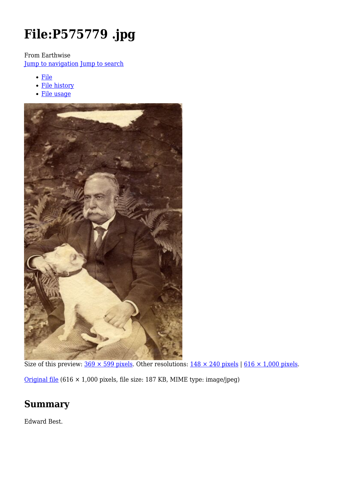# **File:P575779 .jpg**

From Earthwise

[Jump to navigation](#page--1-0) [Jump to search](#page--1-0)

- [File](#page--1-0)
- [File history](#page--1-0)
- [File usage](#page--1-0)



Size of this preview:  $369 \times 599$  pixels. Other resolutions:  $148 \times 240$  pixels | 616  $\times$  1,000 pixels.

[Original file](http://earthwise.bgs.ac.uk/images/4/44/P575779_.jpg) (616 × 1,000 pixels, file size: 187 KB, MIME type: image/jpeg)

# **Summary**

Edward Best.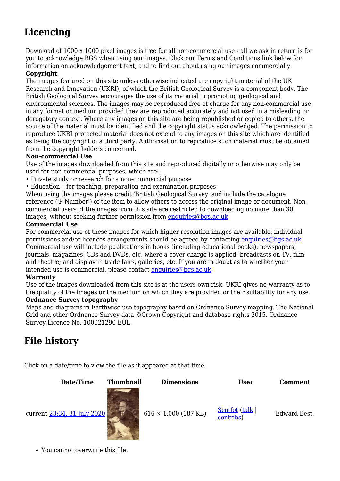# **Licencing**

Download of 1000 x 1000 pixel images is free for all non-commercial use - all we ask in return is for you to acknowledge BGS when using our images. Click our Terms and Conditions link below for information on acknowledgement text, and to find out about using our images commercially.

#### **Copyright**

The images featured on this site unless otherwise indicated are copyright material of the UK Research and Innovation (UKRI), of which the British Geological Survey is a component body. The British Geological Survey encourages the use of its material in promoting geological and environmental sciences. The images may be reproduced free of charge for any non-commercial use in any format or medium provided they are reproduced accurately and not used in a misleading or derogatory context. Where any images on this site are being republished or copied to others, the source of the material must be identified and the copyright status acknowledged. The permission to reproduce UKRI protected material does not extend to any images on this site which are identified as being the copyright of a third party. Authorisation to reproduce such material must be obtained from the copyright holders concerned.

#### **Non-commercial Use**

Use of the images downloaded from this site and reproduced digitally or otherwise may only be used for non-commercial purposes, which are:-

- Private study or research for a non-commercial purpose
- Education for teaching, preparation and examination purposes

When using the images please credit 'British Geological Survey' and include the catalogue reference ('P Number') of the item to allow others to access the original image or document. Noncommercial users of the images from this site are restricted to downloading no more than 30 images, without seeking further permission from [enquiries@bgs.ac.uk](mailto:enquiries@bgs.ac.uk)

#### **Commercial Use**

For commercial use of these images for which higher resolution images are available, individual permissions and/or licences arrangements should be agreed by contacting [enquiries@bgs.ac.uk](mailto:enquiries@bgs.ac.uk) Commercial use will include publications in books (including educational books), newspapers, journals, magazines, CDs and DVDs, etc, where a cover charge is applied; broadcasts on TV, film and theatre; and display in trade fairs, galleries, etc. If you are in doubt as to whether your intended use is commercial, please contact [enquiries@bgs.ac.uk](mailto:enquiries@bgs.ac.uk)

#### **Warranty**

Use of the images downloaded from this site is at the users own risk. UKRI gives no warranty as to the quality of the images or the medium on which they are provided or their suitability for any use.

#### **Ordnance Survey topography**

Maps and diagrams in Earthwise use topography based on Ordnance Survey mapping. The National Grid and other Ordnance Survey data ©Crown Copyright and database rights 2015. Ordnance Survey Licence No. 100021290 EUL.

# **File history**

Click on a date/time to view the file as it appeared at that time.



You cannot overwrite this file.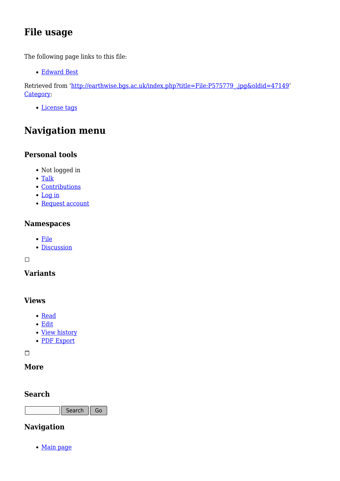# **File usage**

The following page links to this file:

[Edward Best](http://earthwise.bgs.ac.uk/index.php/Edward_Best)

Retrieved from ['http://earthwise.bgs.ac.uk/index.php?title=File:P575779\\_.jpg&oldid=47149](http://earthwise.bgs.ac.uk/index.php?title=File:P575779_.jpg&oldid=47149)' [Category](http://earthwise.bgs.ac.uk/index.php/Special:Categories):

[License tags](http://earthwise.bgs.ac.uk/index.php/Category:License_tags)

# **Navigation menu**

### **Personal tools**

- Not logged in
- [Talk](http://earthwise.bgs.ac.uk/index.php/Special:MyTalk)
- [Contributions](http://earthwise.bgs.ac.uk/index.php/Special:MyContributions)
- [Log in](http://earthwise.bgs.ac.uk/index.php?title=Special:UserLogin&returnto=File%3AP575779+.jpg&returntoquery=action%3Dmpdf)
- [Request account](http://earthwise.bgs.ac.uk/index.php/Special:RequestAccount)

### **Namespaces**

- [File](http://earthwise.bgs.ac.uk/index.php/File:P575779_.jpg)
- [Discussion](http://earthwise.bgs.ac.uk/index.php?title=File_talk:P575779_.jpg&action=edit&redlink=1)

 $\Box$ 

### **Variants**

### **Views**

- [Read](http://earthwise.bgs.ac.uk/index.php/File:P575779_.jpg)
- [Edit](http://earthwise.bgs.ac.uk/index.php?title=File:P575779_.jpg&action=edit)
- [View history](http://earthwise.bgs.ac.uk/index.php?title=File:P575779_.jpg&action=history)
- [PDF Export](http://earthwise.bgs.ac.uk/index.php?title=File:P575779_.jpg&action=mpdf)

 $\overline{\phantom{a}}$ 

### **More**

### **Search**

Search Go

### **Navigation**

• [Main page](http://earthwise.bgs.ac.uk/index.php/Main_Page)